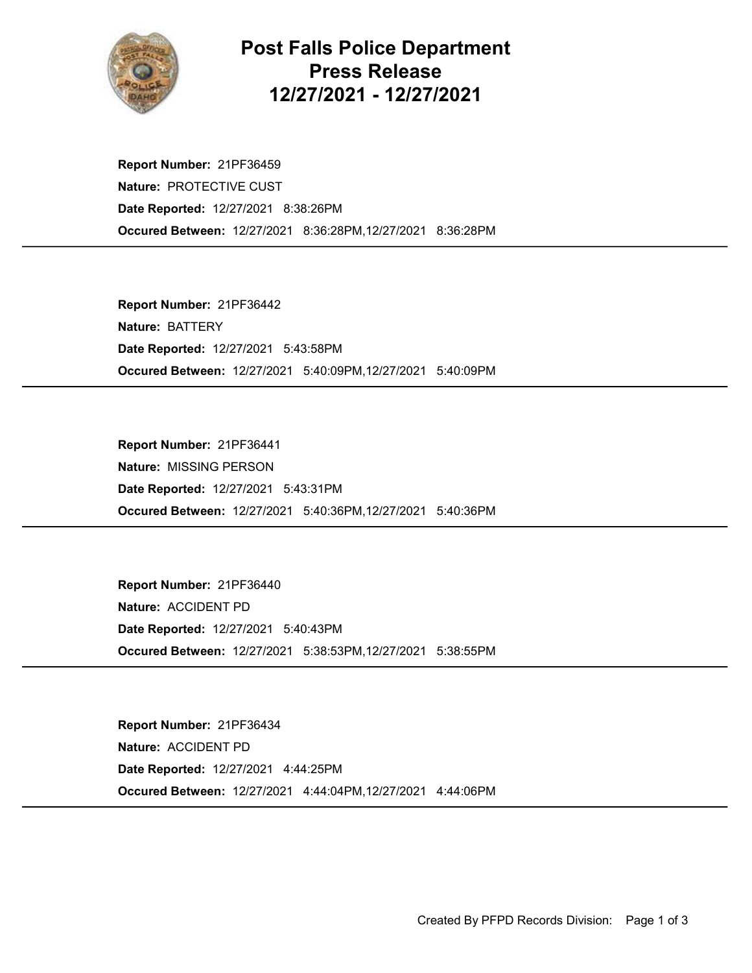

## Post Falls Police Department Press Release 12/27/2021 - 12/27/2021

Occured Between: 12/27/2021 8:36:28PM,12/27/2021 8:36:28PM Report Number: 21PF36459 Nature: PROTECTIVE CUST Date Reported: 12/27/2021 8:38:26PM

Occured Between: 12/27/2021 5:40:09PM,12/27/2021 5:40:09PM Report Number: 21PF36442 Nature: BATTERY Date Reported: 12/27/2021 5:43:58PM

Occured Between: 12/27/2021 5:40:36PM,12/27/2021 5:40:36PM Report Number: 21PF36441 Nature: MISSING PERSON Date Reported: 12/27/2021 5:43:31PM

Occured Between: 12/27/2021 5:38:53PM,12/27/2021 5:38:55PM Report Number: 21PF36440 Nature: ACCIDENT PD Date Reported: 12/27/2021 5:40:43PM

Occured Between: 12/27/2021 4:44:04PM,12/27/2021 4:44:06PM Report Number: 21PF36434 Nature: ACCIDENT PD Date Reported: 12/27/2021 4:44:25PM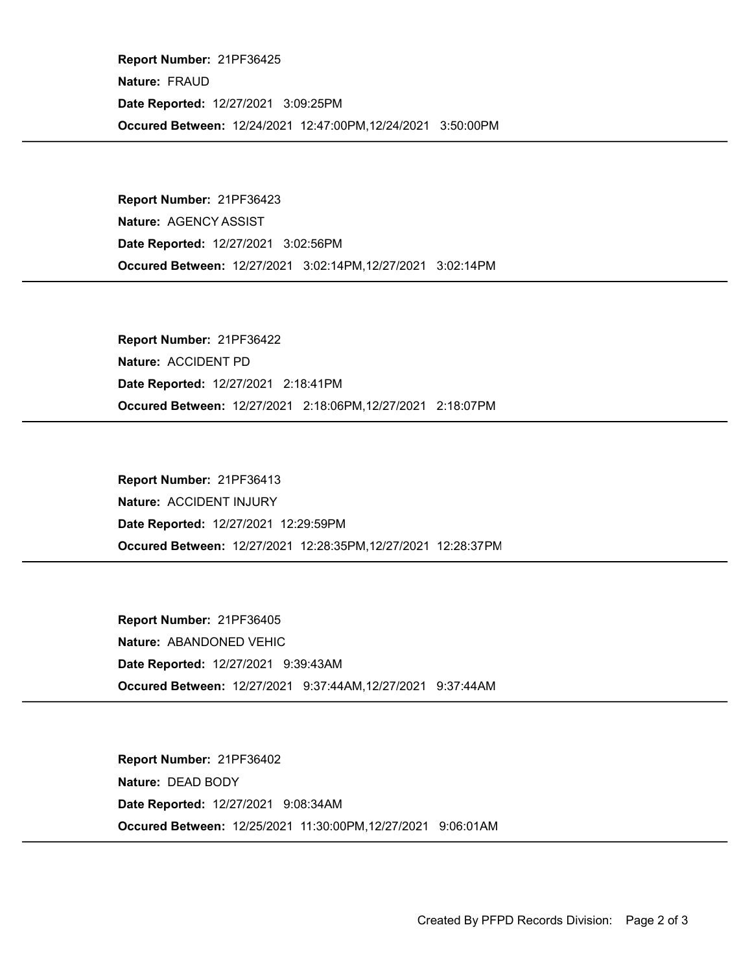Occured Between: 12/24/2021 12:47:00PM,12/24/2021 3:50:00PM Report Number: 21PF36425 Nature: FRAUD Date Reported: 12/27/2021 3:09:25PM

Occured Between: 12/27/2021 3:02:14PM,12/27/2021 3:02:14PM Report Number: 21PF36423 Nature: AGENCY ASSIST Date Reported: 12/27/2021 3:02:56PM

Occured Between: 12/27/2021 2:18:06PM,12/27/2021 2:18:07PM Report Number: 21PF36422 Nature: ACCIDENT PD Date Reported: 12/27/2021 2:18:41PM

Occured Between: 12/27/2021 12:28:35PM,12/27/2021 12:28:37PM Report Number: 21PF36413 Nature: ACCIDENT INJURY Date Reported: 12/27/2021 12:29:59PM

Occured Between: 12/27/2021 9:37:44AM,12/27/2021 9:37:44AM Report Number: 21PF36405 Nature: ABANDONED VEHIC Date Reported: 12/27/2021 9:39:43AM

Occured Between: 12/25/2021 11:30:00PM,12/27/2021 9:06:01AM Report Number: 21PF36402 Nature: DEAD BODY Date Reported: 12/27/2021 9:08:34AM